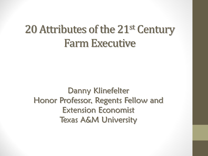# 20 Attributes of the 21<sup>st</sup> Century Farm Executive

Danny Klinefelter Honor Professor, Regents Fellow and Extension Economist Texas A&M University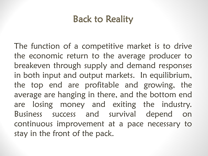# Back to Reality

The function of a competitive market is to drive the economic return to the average producer to breakeven through supply and demand responses in both input and output markets. In equilibrium, the top end are profitable and growing, the average are hanging in there, and the bottom end are losing money and exiting the industry. Business success and survival depend on continuous improvement at a pace necessary to stay in the front of the pack.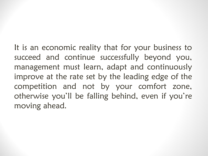It is an economic reality that for your business to succeed and continue successfully beyond you, management must learn, adapt and continuously improve at the rate set by the leading edge of the competition and not by your comfort zone, otherwise you'll be falling behind, even if you're moving ahead.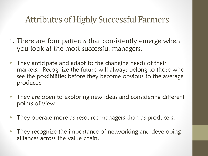- 1. There are four patterns that consistently emerge when you look at the most successful managers.
- They anticipate and adapt to the changing needs of their markets. Recognize the future will always belong to those who see the possibilities before they become obvious to the average producer.
- They are open to exploring new ideas and considering different points of view.
- They operate more as resource managers than as producers.
- They recognize the importance of networking and developing alliances across the value chain.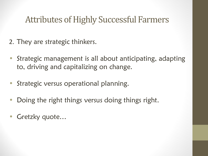- 2. They are strategic thinkers.
- Strategic management is all about anticipating, adapting to, driving and capitalizing on change.
- Strategic versus operational planning.
- Doing the right things versus doing things right.
- Gretzky quote...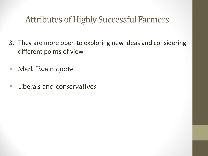- 3. They are more open to exploring new ideas and considering different points of view
- Mark Twain quote
- Liberals and conservatives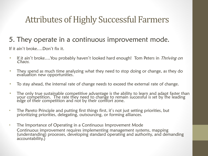#### 5. They operate in a continuous improvement mode.

If it ain't broke….Don't fix it.

- If it ain't broke….You probably haven't looked hard enough! Tom Peters in *Thriving on* Chaos.
- They spend as much time analyzing what they need to stop doing or change, as they do evaluation new opportunities.
- To stay ahead, the internal rate of change needs to exceed the external rate of change.
- The only true sustainable competitive advantage is the ability to learn and adapt faster than your competition. The rate they need to change to remain successful is set by the leading edge of their competition and not by their comfort zone.
- The Pareto Principle and putting first things first, it's not just setting priorities, but prioritizing priorities, delegating, outsourcing, or forming alliances.
- The Importance of Operating in a Continuous Improvement Mode Continuous improvement requires implementing management systems, mapping (understanding) processes, developing standard operating and authority, and demanding accountability.)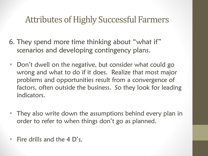- 6. They spend more time thinking about "what if" scenarios and developing contingency plans.
- Don't dwell on the negative, but consider what could go wrong and what to do if it does. Realize that most major problems and opportunities result from a convergence of factors, often outside the business. So they look for leading indicators.
- They also write down the assumptions behind every plan in order to refer to when things don't go as planned.
- Fire drills and the 4 D's.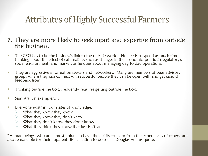- 7. They are more likely to seek input and expertise from outside the business.
- The CEO has to be the business's link to the outside world. He needs to spend as much time thinking about the effect of externalities such as changes in the economic, political (regulatory), social environment, and markets as he does about managing day to day operations.
- They are aggressive information seekers and networkers. Many are members of peer advisory groups where they can connect with successful people they can be open with and get candid feedback from.
- Thinking outside the box, frequently requires getting outside the box.
- Sam Walton examples....
- Everyone exists in four states of knowledge:
	- $\triangleright$  What they know they know
	- $\triangleright$  What they know they don't know
	- $\triangleright$  What they don't know they don't know
	- $\triangleright$  What they think they know that just isn't so

"Human beings, who are almost unique in have the ability to learn from the experiences of others, are<br>also remarkable for their apparent disinclination to do so." Douglas Adams quote. also remarkable for their apparent disinclination to do so."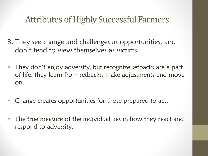8. They see change and challenges as opportunities, and don't tend to view themselves as victims.

- They don't enjoy adversity, but recognize setbacks are a part of life, they learn from setbacks, make adjustments and move on.
- Change creates opportunities for those prepared to act.
- The true measure of the individual lies in how they react and respond to adversity.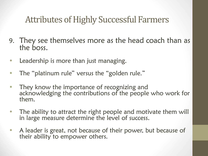- 9. They see themselves more as the head coach than as the boss.
- Leadership is more than just managing.
- The "platinum rule" versus the "golden rule."
- They know the importance of recognizing and acknowledging the contributions of the people who work for them.
- The ability to attract the right people and motivate them will in large measure determine the level of success.
- A leader is great, not because of their power, but because of their ability to empower others.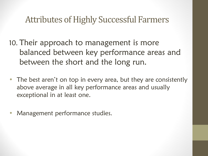10. Their approach to management is more balanced between key performance areas and between the short and the long run.

- The best aren't on top in every area, but they are consistently above average in all key performance areas and usually exceptional in at least one.
- Management performance studies.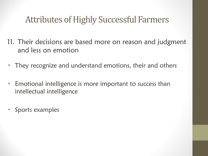- 11. Their decisions are based more on reason and judgment and less on emotion
- They recognize and understand emotions, their and others
- Emotional intelligence is more important to success than intellectual intelligence
- Sports examples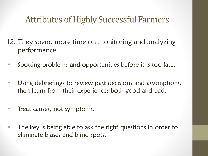- 12. They spend more time on monitoring and analyzing performance.
- Spotting problems and opportunities before it is too late.
- Using debriefings to review past decisions and assumptions, then learn from their experiences both good and bad.
- Treat causes, not symptoms.
- The key is being able to ask the right questions in order to eliminate biases and blind spots.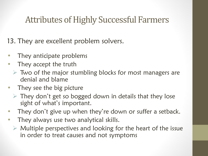13. They are excellent problem solvers.

- They anticipate problems
- They accept the truth
	- $\triangleright$  Two of the major stumbling blocks for most managers are denial and blame
- They see the big picture
	- $\triangleright$  They don't get so bogged down in details that they lose sight of what's important.
- They don't give up when they're down or suffer a setback.
- They always use two analytical skills.
	- $\triangleright$  Multiple perspectives and looking for the heart of the issue in order to treat causes and not symptoms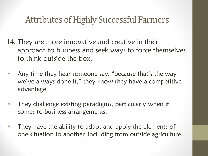- 14. They are more innovative and creative in their approach to business and seek ways to force themselves to think outside the box.
- Any time they hear someone say, "because that's the way we've always done it," they know they have a competitive advantage.
- They challenge existing paradigms, particularly when it comes to business arrangements.
- They have the ability to adapt and apply the elements of one situation to another, including from outside agriculture.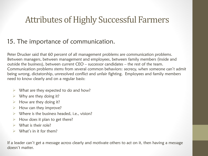#### 15. The importance of communication.

Peter Drucker said that 60 percent of all management problems are communication problems. Between managers, between management and employees, between family members (inside and outside the business), between current CEO – successor candidates – the rest of the team. Communication problems stems from several common behaviors: secrecy, when someone can't admit being wrong, dictatorship, unresolved conflict and unfair fighting. Employees and family members need to know clearly and on a regular basis:

- $\triangleright$  What are they expected to do and how?
- $\triangleright$  Why are they doing it?
- $\triangleright$  How are they doing it?
- $\triangleright$  How can they improve?
- $\triangleright$  Where is the business headed, i.e., vision?
- $\triangleright$  How does it plan to get there?
- $\triangleright$  What is their role?
- $\triangleright$  What's in it for them?

If a leader can't get a message across clearly and motivate others to act on it, then having a message doesn't matter.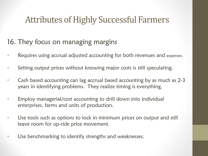#### 16. They focus on managing margins

- Requires using accrual adjusted accounting for both revenues and expenses.
- Setting output prices without knowing major costs is still speculating.
- Cash based accounting can lag accrual based accounting by as much as 2-3 years in identifying problems. They realize timing is everything.
- Employ managerial/cost accounting to drill down into individual enterprises, farms and units of production.
- Use tools such as options to lock in minimum prices on output and still leave room for up-ride price movement.
- Use benchmarking to identify strengths and weaknesses.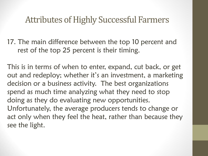17. The main difference between the top 10 percent and rest of the top 25 percent is their timing.

This is in terms of when to enter, expand, cut back, or get out and redeploy; whether it's an investment, a marketing decision or a business activity. The best organizations spend as much time analyzing what they need to stop doing as they do evaluating new opportunities. Unfortunately, the average producers tends to change or act only when they feel the heat, rather than because they see the light.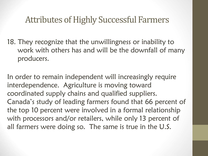18. They recognize that the unwillingness or inability to work with others has and will be the downfall of many producers.

In order to remain independent will increasingly require interdependence. Agriculture is moving toward coordinated supply chains and qualified suppliers. Canada's study of leading farmers found that 66 percent of the top 10 percent were involved in a formal relationship with processors and/or retailers, while only 13 percent of all farmers were doing so. The same is true in the U.S.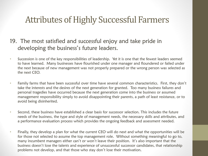- 19. The most satisfied and successful enjoy and take pride in developing the business's future leaders.
- Succession is one of the key responsibilities of leadership. Yet it is one that the fewest leaders seemed to have learned. Many businesses have flourished under one manager and floundered or failed under the next because of new management was not properly prepared or the wrong person was selected as the next CEO.
- Family farms that have been successful over time have several common characteristics. First, they don't take the interests and the desires of the next generation for granted. Too many business failures and personal tragedies have occurred because the next generation come into the business or assumed management responsibility simply to avoid disappointing their parents, a path of least resistance, or to avoid being disinherited.
- Second, these business have established a clear basis for successor selection. This includes the future needs of the business, the type and style of management needs, the necessary skills and attributes, and a performance evaluation process which provides the ongoing feedback and assessment needed.
- Finally, they develop a plan for what the current CEO will do next and what the opportunities will be for those not selected to assume the top management role. Without something meaningful to go to, many incumbent managers either can't or won't leave their position. It's also important that the business doesn't lose the talents and experience of unsuccessful successor candidates, that relationship problems not develop, and that those who stay don't lose their motivation.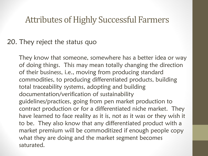#### 20. They reject the status quo

They know that someone, somewhere has a better idea or way of doing things. This may mean totally changing the direction of their business, i.e., moving from producing standard commodities, to producing differentiated products, building total traceability systems, adopting and building documentation/verification of sustainability guidelines/practices, going from pen market production to contract production or for a differentiated niche market. They have learned to face reality as it is, not as it was or they wish it to be. They also know that any differentiated product with a market premium will be commoditized if enough people copy what they are doing and the market segment becomes saturated.